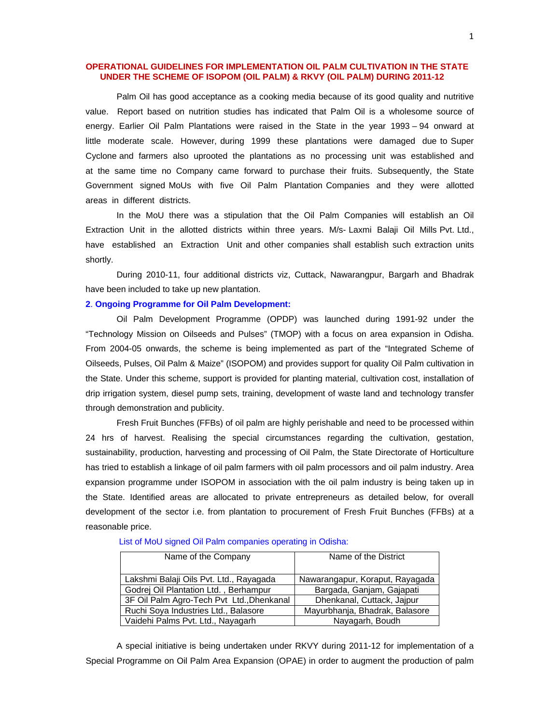## **OPERATIONAL GUIDELINES FOR IMPLEMENTATION OIL PALM CULTIVATION IN THE STATE UNDER THE SCHEME OF ISOPOM (OIL PALM) & RKVY (OIL PALM) DURING 2011-12**

Palm Oil has good acceptance as a cooking media because of its good quality and nutritive value. Report based on nutrition studies has indicated that Palm Oil is a wholesome source of energy. Earlier Oil Palm Plantations were raised in the State in the year 1993 – 94 onward at little moderate scale. However, during 1999 these plantations were damaged due to Super Cyclone and farmers also uprooted the plantations as no processing unit was established and at the same time no Company came forward to purchase their fruits. Subsequently, the State Government signed MoUs with five Oil Palm Plantation Companies and they were allotted areas in different districts.

In the MoU there was a stipulation that the Oil Palm Companies will establish an Oil Extraction Unit in the allotted districts within three years. M/s- Laxmi Balaji Oil Mills Pvt. Ltd., have established an Extraction Unit and other companies shall establish such extraction units shortly.

During 2010-11, four additional districts viz, Cuttack, Nawarangpur, Bargarh and Bhadrak have been included to take up new plantation.

## **2**. **Ongoing Programme for Oil Palm Development:**

Oil Palm Development Programme (OPDP) was launched during 1991-92 under the "Technology Mission on Oilseeds and Pulses" (TMOP) with a focus on area expansion in Odisha. From 2004-05 onwards, the scheme is being implemented as part of the "Integrated Scheme of Oilseeds, Pulses, Oil Palm & Maize" (ISOPOM) and provides support for quality Oil Palm cultivation in the State. Under this scheme, support is provided for planting material, cultivation cost, installation of drip irrigation system, diesel pump sets, training, development of waste land and technology transfer through demonstration and publicity.

Fresh Fruit Bunches (FFBs) of oil palm are highly perishable and need to be processed within 24 hrs of harvest. Realising the special circumstances regarding the cultivation, gestation, sustainability, production, harvesting and processing of Oil Palm, the State Directorate of Horticulture has tried to establish a linkage of oil palm farmers with oil palm processors and oil palm industry. Area expansion programme under ISOPOM in association with the oil palm industry is being taken up in the State. Identified areas are allocated to private entrepreneurs as detailed below, for overall development of the sector i.e. from plantation to procurement of Fresh Fruit Bunches (FFBs) at a reasonable price.

| Name of the Company                       | Name of the District            |
|-------------------------------------------|---------------------------------|
|                                           |                                 |
| Lakshmi Balaji Oils Pvt. Ltd., Rayagada   | Nawarangapur, Koraput, Rayagada |
| Godrej Oil Plantation Ltd., Berhampur     | Bargada, Ganjam, Gajapati       |
| 3F Oil Palm Agro-Tech Pvt Ltd., Dhenkanal | Dhenkanal, Cuttack, Jajpur      |
| Ruchi Soya Industries Ltd., Balasore      | Mayurbhanja, Bhadrak, Balasore  |
| Vaidehi Palms Pvt. Ltd., Nayagarh         | Nayagarh, Boudh                 |

List of MoU signed Oil Palm companies operating in Odisha:

A special initiative is being undertaken under RKVY during 2011-12 for implementation of a Special Programme on Oil Palm Area Expansion (OPAE) in order to augment the production of palm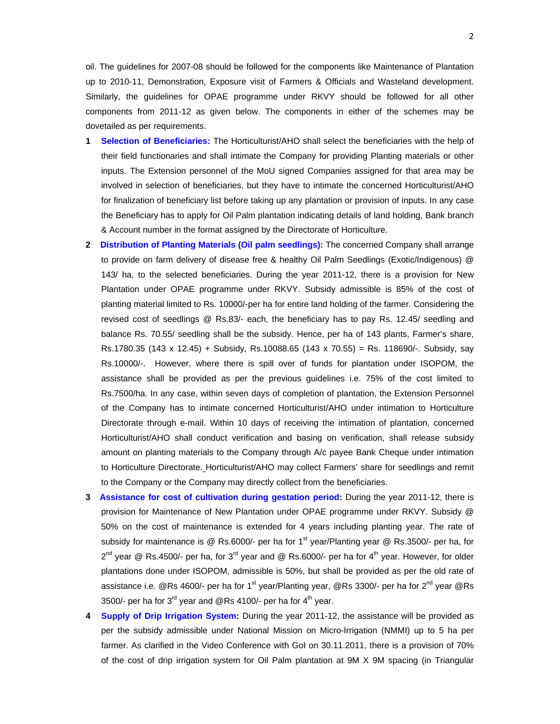oil. The guidelines for 2007-08 should be followed for the components like Maintenance of Plantation up to 2010-11, Demonstration, Exposure visit of Farmers & Officials and Wasteland development. Similarly, the guidelines for OPAE programme under RKVY should be followed for all other components from 2011-12 as given below. The components in either of the schemes may be dovetailed as per requirements.

- **1 Selection of Beneficiaries:** The Horticulturist/AHO shall select the beneficiaries with the help of their field functionaries and shall intimate the Company for providing Planting materials or other inputs. The Extension personnel of the MoU signed Companies assigned for that area may be involved in selection of beneficiaries, but they have to intimate the concerned Horticulturist/AHO for finalization of beneficiary list before taking up any plantation or provision of inputs. In any case the Beneficiary has to apply for Oil Palm plantation indicating details of land holding, Bank branch & Account number in the format assigned by the Directorate of Horticulture.
- **2 Distribution of Planting Materials (Oil palm seedlings):** The concerned Company shall arrange to provide on farm delivery of disease free & healthy Oil Palm Seedlings (Exotic/Indigenous) @ 143/ ha, to the selected beneficiaries. During the year 2011-12, there is a provision for New Plantation under OPAE programme under RKVY. Subsidy admissible is 85% of the cost of planting material limited to Rs. 10000/-per ha for entire land holding of the farmer. Considering the revised cost of seedlings @ Rs.83/- each, the beneficiary has to pay Rs. 12.45/ seedling and balance Rs. 70.55/ seedling shall be the subsidy. Hence, per ha of 143 plants, Farmer's share, Rs.1780.35 (143 x 12.45) + Subsidy, Rs.10088.65 (143 x 70.55) = Rs. 118690/-. Subsidy, say Rs.10000/-. However, where there is spill over of funds for plantation under ISOPOM, the assistance shall be provided as per the previous guidelines i.e. 75% of the cost limited to Rs.7500/ha. In any case, within seven days of completion of plantation, the Extension Personnel of the Company has to intimate concerned Horticulturist/AHO under intimation to Horticulture Directorate through e-mail. Within 10 days of receiving the intimation of plantation, concerned Horticulturist/AHO shall conduct verification and basing on verification, shall release subsidy amount on planting materials to the Company through A/c payee Bank Cheque under intimation to Horticulture Directorate. Horticulturist/AHO may collect Farmers' share for seedlings and remit to the Company or the Company may directly collect from the beneficiaries.
- **3 Assistance for cost of cultivation during gestation period:** During the year 2011-12, there is provision for Maintenance of New Plantation under OPAE programme under RKVY. Subsidy @ 50% on the cost of maintenance is extended for 4 years including planting year. The rate of subsidy for maintenance is @ Rs.6000/- per ha for 1<sup>st</sup> year/Planting year @ Rs.3500/- per ha, for  $2^{nd}$  year @ Rs.4500/- per ha, for 3<sup>rd</sup> year and @ Rs.6000/- per ha for 4<sup>th</sup> year. However, for older plantations done under ISOPOM, admissible is 50%, but shall be provided as per the old rate of assistance i.e. @Rs 4600/- per ha for 1<sup>st</sup> year/Planting year, @Rs 3300/- per ha for 2<sup>nd</sup> year @Rs 3500/- per ha for  $3^{rd}$  year and @Rs 4100/- per ha for  $4^{th}$  year.
- **4 Supply of Drip Irrigation System:** During the year 2011-12, the assistance will be provided as per the subsidy admissible under National Mission on Micro-Irrigation (NMMI) up to 5 ha per farmer. As clarified in the Video Conference with GoI on 30.11.2011, there is a provision of 70% of the cost of drip irrigation system for Oil Palm plantation at 9M X 9M spacing (in Triangular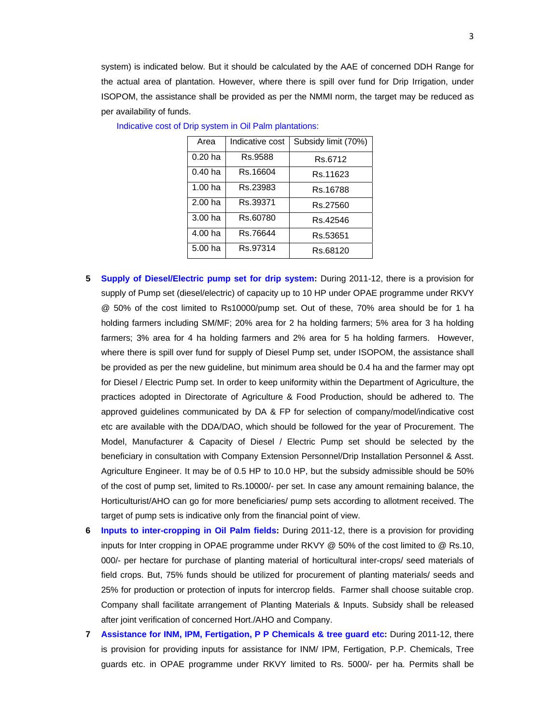system) is indicated below. But it should be calculated by the AAE of concerned DDH Range for the actual area of plantation. However, where there is spill over fund for Drip Irrigation, under ISOPOM, the assistance shall be provided as per the NMMI norm, the target may be reduced as per availability of funds.

| Area               | Indicative cost | Subsidy limit (70%) |
|--------------------|-----------------|---------------------|
| $0.20$ ha          | Rs.9588         | Rs.6712             |
| $0.40$ ha          | Rs.16604        | Rs.11623            |
| 1.00 <sub>ha</sub> | Rs.23983        | Rs.16788            |
| 2.00 <sub>ha</sub> | Rs.39371        | Rs.27560            |
| 3.00 <sub>ha</sub> | Rs.60780        | Rs.42546            |
| 4.00 <sub>ha</sub> | Rs.76644        | Rs.53651            |
| 5.00 ha            | Rs.97314        | Rs.68120            |

Indicative cost of Drip system in Oil Palm plantations:

- **5 Supply of Diesel/Electric pump set for drip system:** During 2011-12, there is a provision for supply of Pump set (diesel/electric) of capacity up to 10 HP under OPAE programme under RKVY @ 50% of the cost limited to Rs10000/pump set. Out of these, 70% area should be for 1 ha holding farmers including SM/MF; 20% area for 2 ha holding farmers; 5% area for 3 ha holding farmers; 3% area for 4 ha holding farmers and 2% area for 5 ha holding farmers. However, where there is spill over fund for supply of Diesel Pump set, under ISOPOM, the assistance shall be provided as per the new guideline, but minimum area should be 0.4 ha and the farmer may opt for Diesel / Electric Pump set. In order to keep uniformity within the Department of Agriculture, the practices adopted in Directorate of Agriculture & Food Production, should be adhered to. The approved guidelines communicated by DA & FP for selection of company/model/indicative cost etc are available with the DDA/DAO, which should be followed for the year of Procurement. The Model, Manufacturer & Capacity of Diesel / Electric Pump set should be selected by the beneficiary in consultation with Company Extension Personnel/Drip Installation Personnel & Asst. Agriculture Engineer. It may be of 0.5 HP to 10.0 HP, but the subsidy admissible should be 50% of the cost of pump set, limited to Rs.10000/- per set. In case any amount remaining balance, the Horticulturist/AHO can go for more beneficiaries/ pump sets according to allotment received. The target of pump sets is indicative only from the financial point of view.
- **6 Inputs to inter-cropping in Oil Palm fields:** During 2011-12, there is a provision for providing inputs for Inter cropping in OPAE programme under RKVY @ 50% of the cost limited to @ Rs.10, 000/- per hectare for purchase of planting material of horticultural inter-crops/ seed materials of field crops. But, 75% funds should be utilized for procurement of planting materials/ seeds and 25% for production or protection of inputs for intercrop fields. Farmer shall choose suitable crop. Company shall facilitate arrangement of Planting Materials & Inputs. Subsidy shall be released after joint verification of concerned Hort./AHO and Company.
- **7 Assistance for INM, IPM, Fertigation, P P Chemicals & tree guard etc:** During 2011-12, there is provision for providing inputs for assistance for INM/ IPM, Fertigation, P.P. Chemicals, Tree guards etc. in OPAE programme under RKVY limited to Rs. 5000/- per ha. Permits shall be